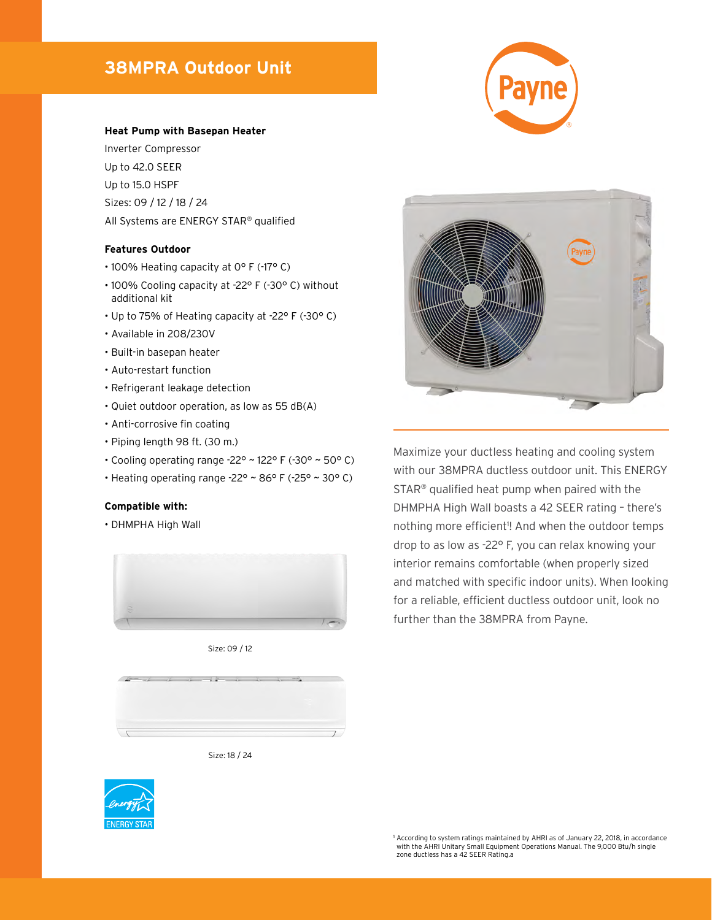# **38MPRA Outdoor Unit**



#### **Heat Pump with Basepan Heater**

Inverter Compressor Up to 42.0 SEER Up to 15.0 HSPF Sizes: 09 / 12 / 18 / 24 All Systems are ENERGY STAR® qualified

### **Features Outdoor**

- 100% Heating capacity at 0° F (-17° C)
- 100% Cooling capacity at -22° F (-30° C) without additional kit
- Up to 75% of Heating capacity at -22° F (-30° C)
- Available in 208/230V
- Built-in basepan heater
- Auto-restart function
- Refrigerant leakage detection
- Quiet outdoor operation, as low as 55 dB(A)
- Anti-corrosive fin coating
- Piping length 98 ft. (30 m.)
- Cooling operating range -22° ~ 122° F (-30° ~ 50° C)
- Heating operating range  $-22^\circ \sim 86^\circ$  F ( $-25^\circ \sim 30^\circ$  C)

### **Compatible with:**

• DHMPHA High Wall



Size: 09 / 12



Size: 18 / 24





Maximize your ductless heating and cooling system with our 38MPRA ductless outdoor unit. This ENERGY STAR® qualified heat pump when paired with the DHMPHA High Wall boasts a 42 SEER rating – there's nothing more efficient<sup>1</sup>! And when the outdoor temps drop to as low as -22° F, you can relax knowing your interior remains comfortable (when properly sized and matched with specific indoor units). When looking for a reliable, efficient ductless outdoor unit, look no further than the 38MPRA from Payne.

<sup>1</sup> According to system ratings maintained by AHRI as of January 22, 2018, in accordance with the AHRI Unitary Small Equipment Operations Manual. The 9,000 Btu/h single zone ductless has a 42 SEER Rating.a